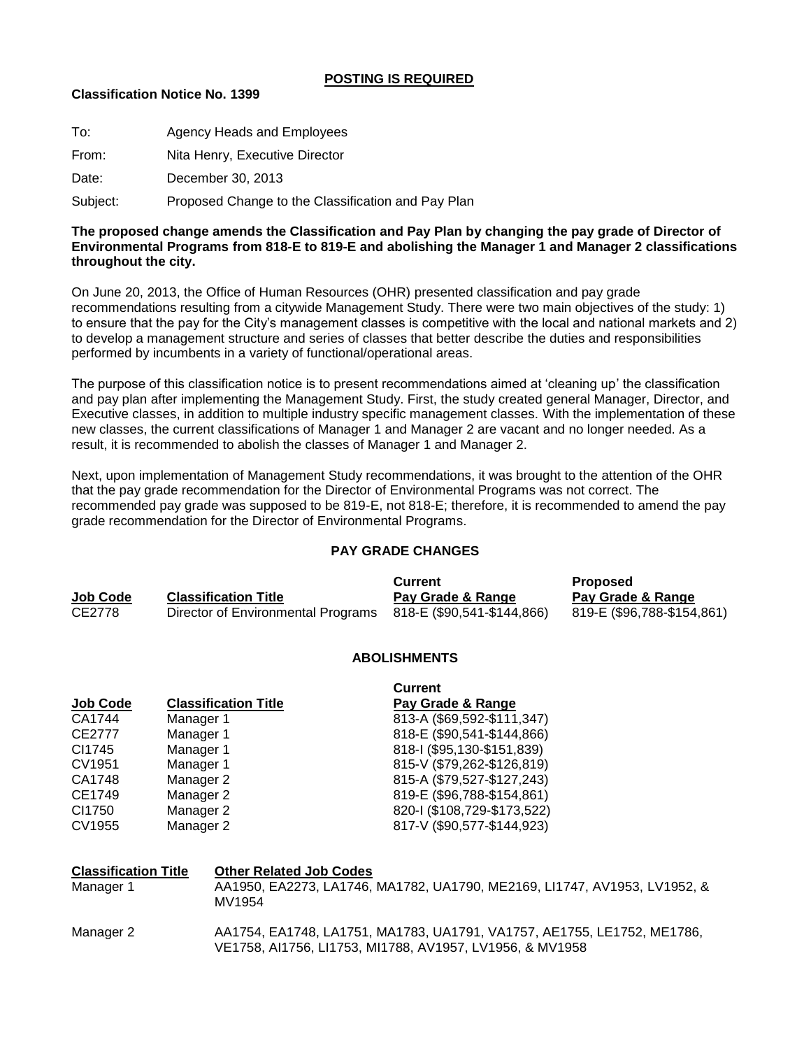## **POSTING IS REQUIRED**

# **Classification Notice No. 1399**

| To:      | Agency Heads and Employees                         |
|----------|----------------------------------------------------|
| From:    | Nita Henry, Executive Director                     |
| Date:    | December 30, 2013                                  |
| Subject: | Proposed Change to the Classification and Pay Plan |

## **The proposed change amends the Classification and Pay Plan by changing the pay grade of Director of Environmental Programs from 818-E to 819-E and abolishing the Manager 1 and Manager 2 classifications throughout the city.**

On June 20, 2013, the Office of Human Resources (OHR) presented classification and pay grade recommendations resulting from a citywide Management Study. There were two main objectives of the study: 1) to ensure that the pay for the City"s management classes is competitive with the local and national markets and 2) to develop a management structure and series of classes that better describe the duties and responsibilities performed by incumbents in a variety of functional/operational areas.

The purpose of this classification notice is to present recommendations aimed at "cleaning up" the classification and pay plan after implementing the Management Study. First, the study created general Manager, Director, and Executive classes, in addition to multiple industry specific management classes. With the implementation of these new classes, the current classifications of Manager 1 and Manager 2 are vacant and no longer needed. As a result, it is recommended to abolish the classes of Manager 1 and Manager 2.

Next, upon implementation of Management Study recommendations, it was brought to the attention of the OHR that the pay grade recommendation for the Director of Environmental Programs was not correct. The recommended pay grade was supposed to be 819-E, not 818-E; therefore, it is recommended to amend the pay grade recommendation for the Director of Environmental Programs.

#### **PAY GRADE CHANGES**

|          |                                    | Current                    | <b>Proposed</b>            |
|----------|------------------------------------|----------------------------|----------------------------|
| Job Code | <b>Classification Title</b>        | Pay Grade & Range          | Pay Grade & Range          |
| CE2778   | Director of Environmental Programs | 818-E (\$90,541-\$144,866) | 819-E (\$96,788-\$154,861) |

#### **ABOLISHMENTS**

|                             | <b>Current</b>              |
|-----------------------------|-----------------------------|
| <b>Classification Title</b> | Pay Grade & Range           |
| Manager 1                   | 813-A (\$69,592-\$111,347)  |
| Manager 1                   | 818-E (\$90,541-\$144,866)  |
| Manager 1                   | 818-I (\$95,130-\$151,839)  |
| Manager 1                   | 815-V (\$79,262-\$126,819)  |
| Manager 2                   | 815-A (\$79,527-\$127,243)  |
| Manager 2                   | 819-E (\$96,788-\$154,861)  |
| Manager 2                   | 820-1 (\$108,729-\$173,522) |
| Manager 2                   | 817-V (\$90,577-\$144,923)  |
|                             |                             |

| <b>Classification Title</b><br>Manager 1 | <b>Other Related Job Codes</b><br>AA1950, EA2273, LA1746, MA1782, UA1790, ME2169, LI1747, AV1953, LV1952, &<br>MV1954               |
|------------------------------------------|-------------------------------------------------------------------------------------------------------------------------------------|
| Manager 2                                | AA1754, EA1748, LA1751, MA1783, UA1791, VA1757, AE1755, LE1752, ME1786,<br>VE1758, AI1756, LI1753, MI1788, AV1957, LV1956, & MV1958 |